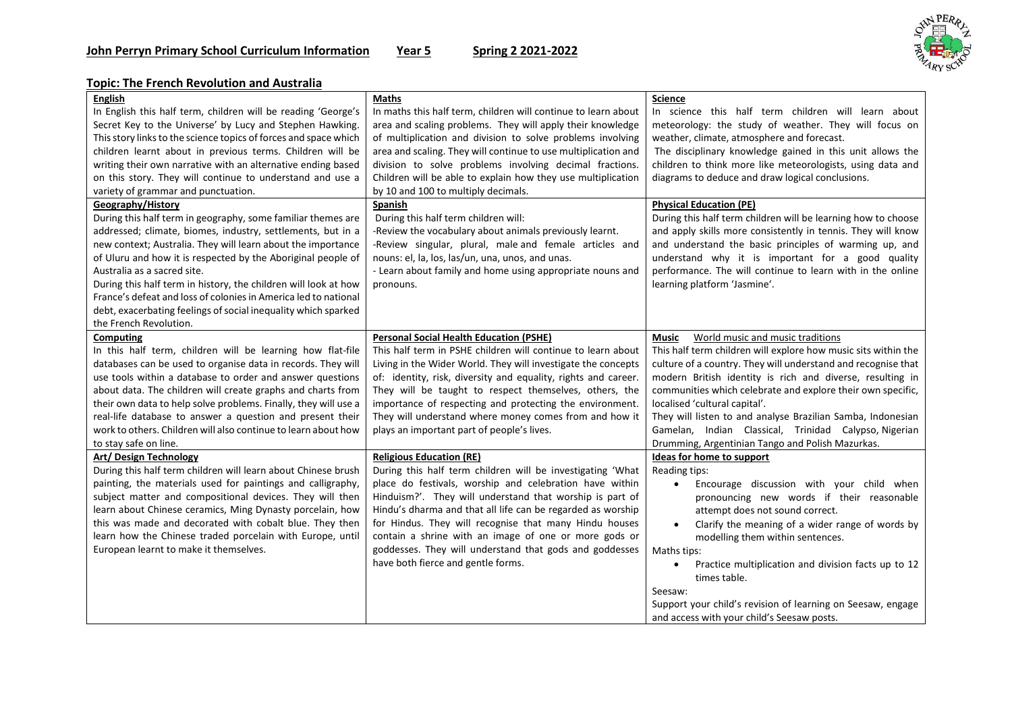

## **Topic: The French Revolution and Australia**

| <b>English</b><br>In English this half term, children will be reading 'George's<br>Secret Key to the Universe' by Lucy and Stephen Hawking.<br>This story links to the science topics of forces and space which<br>children learnt about in previous terms. Children will be<br>writing their own narrative with an alternative ending based<br>on this story. They will continue to understand and use a<br>variety of grammar and punctuation.<br>Geography/History                                                        | <b>Maths</b><br>In maths this half term, children will continue to learn about<br>area and scaling problems. They will apply their knowledge<br>of multiplication and division to solve problems involving<br>area and scaling. They will continue to use multiplication and<br>division to solve problems involving decimal fractions.<br>Children will be able to explain how they use multiplication<br>by 10 and 100 to multiply decimals.<br><b>Spanish</b>                                        | <b>Science</b><br>In science this half term children will learn about<br>meteorology: the study of weather. They will focus on<br>weather, climate, atmosphere and forecast.<br>The disciplinary knowledge gained in this unit allows the<br>children to think more like meteorologists, using data and<br>diagrams to deduce and draw logical conclusions.<br><b>Physical Education (PE)</b>                                                                                                                               |
|------------------------------------------------------------------------------------------------------------------------------------------------------------------------------------------------------------------------------------------------------------------------------------------------------------------------------------------------------------------------------------------------------------------------------------------------------------------------------------------------------------------------------|---------------------------------------------------------------------------------------------------------------------------------------------------------------------------------------------------------------------------------------------------------------------------------------------------------------------------------------------------------------------------------------------------------------------------------------------------------------------------------------------------------|-----------------------------------------------------------------------------------------------------------------------------------------------------------------------------------------------------------------------------------------------------------------------------------------------------------------------------------------------------------------------------------------------------------------------------------------------------------------------------------------------------------------------------|
| During this half term in geography, some familiar themes are<br>addressed; climate, biomes, industry, settlements, but in a<br>new context; Australia. They will learn about the importance<br>of Uluru and how it is respected by the Aboriginal people of<br>Australia as a sacred site.<br>During this half term in history, the children will look at how<br>France's defeat and loss of colonies in America led to national<br>debt, exacerbating feelings of social inequality which sparked<br>the French Revolution. | During this half term children will:<br>-Review the vocabulary about animals previously learnt.<br>-Review singular, plural, male and female articles and<br>nouns: el, la, los, las/un, una, unos, and unas.<br>- Learn about family and home using appropriate nouns and<br>pronouns.                                                                                                                                                                                                                 | During this half term children will be learning how to choose<br>and apply skills more consistently in tennis. They will know<br>and understand the basic principles of warming up, and<br>understand why it is important for a good quality<br>performance. The will continue to learn with in the online<br>learning platform 'Jasmine'.                                                                                                                                                                                  |
| <b>Computing</b><br>In this half term, children will be learning how flat-file<br>databases can be used to organise data in records. They will<br>use tools within a database to order and answer questions<br>about data. The children will create graphs and charts from<br>their own data to help solve problems. Finally, they will use a<br>real-life database to answer a question and present their<br>work to others. Children will also continue to learn about how<br>to stay safe on line.                        | <b>Personal Social Health Education (PSHE)</b><br>This half term in PSHE children will continue to learn about<br>Living in the Wider World. They will investigate the concepts<br>of: identity, risk, diversity and equality, rights and career.<br>They will be taught to respect themselves, others, the<br>importance of respecting and protecting the environment.<br>They will understand where money comes from and how it<br>plays an important part of people's lives.                         | World music and music traditions<br>Music<br>This half term children will explore how music sits within the<br>culture of a country. They will understand and recognise that<br>modern British identity is rich and diverse, resulting in<br>communities which celebrate and explore their own specific,<br>localised 'cultural capital'.<br>They will listen to and analyse Brazilian Samba, Indonesian<br>Gamelan, Indian Classical, Trinidad Calypso, Nigerian<br>Drumming, Argentinian Tango and Polish Mazurkas.       |
| Art/Design Technology<br>During this half term children will learn about Chinese brush<br>painting, the materials used for paintings and calligraphy,<br>subject matter and compositional devices. They will then<br>learn about Chinese ceramics, Ming Dynasty porcelain, how<br>this was made and decorated with cobalt blue. They then<br>learn how the Chinese traded porcelain with Europe, until<br>European learnt to make it themselves.                                                                             | <b>Religious Education (RE)</b><br>During this half term children will be investigating 'What<br>place do festivals, worship and celebration have within<br>Hinduism?'. They will understand that worship is part of<br>Hindu's dharma and that all life can be regarded as worship<br>for Hindus. They will recognise that many Hindu houses<br>contain a shrine with an image of one or more gods or<br>goddesses. They will understand that gods and goddesses<br>have both fierce and gentle forms. | <b>Ideas for home to support</b><br>Reading tips:<br>Encourage discussion with your child when<br>$\bullet$<br>pronouncing new words if their reasonable<br>attempt does not sound correct.<br>Clarify the meaning of a wider range of words by<br>$\bullet$<br>modelling them within sentences.<br>Maths tips:<br>Practice multiplication and division facts up to 12<br>$\bullet$<br>times table.<br>Seesaw:<br>Support your child's revision of learning on Seesaw, engage<br>and access with your child's Seesaw posts. |